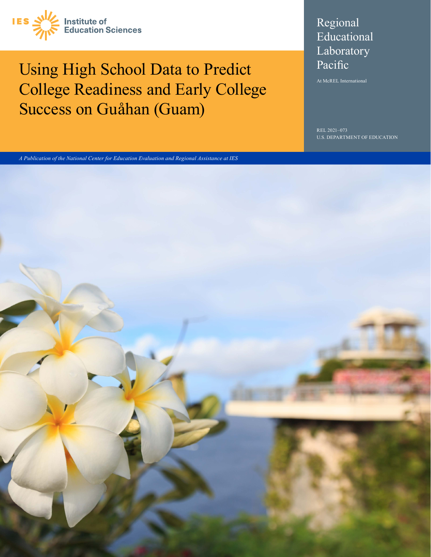

# Using High School Data to Predict College Readiness and Early College Success on Guåhan (Guam)

## Regional Educational Laboratory Pacific

At McREL International

REL 2021-073 U.S. DEPARTMENT OF EDUCATION

*A Publication of the National Center for Education Evaluation and Regional Assistance at IES*

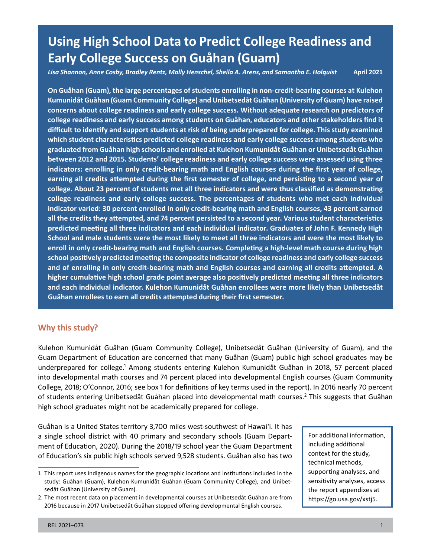## **Using High School Data to Predict College Readiness and Early College Success on Guåhan (Guam)**

*Lisa Shannon, Anne Cosby, Bradley Rentz, Molly Henschel, Sheila A. Arens, and Samantha E. Holquist* **April 2021** 

 **indicators: enrolling in only credit-bearing math and English courses during the first year of college, earning all credits attempted during the first semester of college, and persisting to a second year of college readiness and early college success. The percentages of students who met each individual predicted meeting all three indicators and each individual indicator. Graduates of John F. Kennedy High school positively predicted meeting the composite indicator of college readiness and early college success and of enrolling in only credit-bearing math and English courses and earning all credits attempted. A On Guåhan (Guam), the large percentages of students enrolling in non-credit-bearing courses at Kulehon Kumunidåt Guåhan (Guam Community College) and Unibetsedåt Guåhan (University of Guam) have raised concerns about college readiness and early college success. Without adequate research on predictors of college readiness and early success among students on Guåhan, educators and other stakeholders find it difficult to identify and support students at risk of being underprepared for college. This study examined which student characteristics predicted college readiness and early college success among students who graduated from Guåhan high schools and enrolled at Kulehon Kumunidåt Guåhan or Unibetsedåt Guåhan between 2012 and 2015. Students' college readiness and early college success were assessed using three college. About 23 percent of students met all three indicators and were thus classified as demonstrating indicator varied: 30 percent enrolled in only credit-bearing math and English courses, 43 percent earned all the credits they attempted, and 74 percent persisted to a second year. Various student characteristics School and male students were the most likely to meet all three indicators and were the most likely to enroll in only credit-bearing math and English courses. Completing a high-level math course during high higher cumulative high school grade point average also positively predicted meeting all three indicators and each individual indicator. Kulehon Kumunidåt Guåhan enrollees were more likely than Unibetsedåt Guåhan enrollees to earn all credits attempted during their first semester.** 

## **Why this study?**

Kulehon Kumunidåt Guåhan (Guam Community College), Unibetsedåt Guåhan (University of Guam), and the Guam Department of Education are concerned that many Guåhan (Guam) public high school graduates may be underprepared for college.<sup>1</sup> Among students entering Kulehon Kumunidåt Guåhan in 2018, 57 percent placed into developmental math courses and 74 percent placed into developmental English courses (Guam Community College, 2018; O'Connor, 2016; see box 1 for definitions of key terms used in the report). In 2016 nearly 70 percent of students entering Unibetsedåt Guåhan placed into developmental math courses.<sup>2</sup> This suggests that Guåhan high school graduates might not be academically prepared for college.

Guåhan is a United States territory 3,700 miles west-southwest of Hawaiʻi. It has a single school district with 40 primary and secondary schools (Guam Department of Education, 2020). During the 2018/19 school year the Guam Department of Education's six public high schools served 9,528 students. Guåhan also has two

For additional information, including additional context for the study, technical methods, supporting analyses, and sensitivity analyses, access the report appendixes at [https://go.usa.gov/xstj5.](https://go.usa.gov/xstj5)

<sup>1.</sup> This report uses Indigenous names for the geographic locations and institutions included in the study: Guåhan (Guam), Kulehon Kumunidåt Guåhan (Guam Community College), and Unibetsedåt Guåhan (University of Guam).

<sup>2.</sup> The most recent data on placement in developmental courses at Unibetsedåt Guåhan are from 2016 because in 2017 Unibetsedåt Guåhan stopped offering developmental English courses.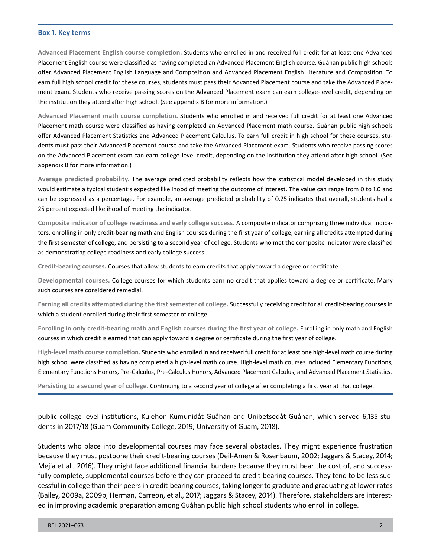#### **Box 1. Key terms**

 **Advanced Placement English course completion.** Students who enrolled in and received full credit for at least one Advanced offer Advanced Placement English Language and Composition and Advanced Placement English Literature and Composition. To Placement English course were classified as having completed an Advanced Placement English course. Guåhan public high schools earn full high school credit for these courses, students must pass their Advanced Placement course and take the Advanced Placement exam. Students who receive passing scores on the Advanced Placement exam can earn college-level credit, depending on the institution they attend after high school. (See appendix B for more information.)

 **Advanced Placement math course completion.** Students who enrolled in and received full credit for at least one Advanced Placement math course were classified as having completed an Advanced Placement math course. Guåhan public high schools offer Advanced Placement Statistics and Advanced Placement Calculus. To earn full credit in high school for these courses, students must pass their Advanced Placement course and take the Advanced Placement exam. Students who receive passing scores on the Advanced Placement exam can earn college-level credit, depending on the institution they attend after high school. (See appendix B for more information.)

**Average predicted probability.** The average predicted probability reflects how the statistical model developed in this study would estimate a typical student's expected likelihood of meeting the outcome of interest. The value can range from 0 to 1.0 and can be expressed as a percentage. For example, an average predicted probability of 0.25 indicates that overall, students had a 25 percent expected likelihood of meeting the indicator.

**Composite indicator of college readiness and early college success.** A composite indicator comprising three individual indicators: enrolling in only credit-bearing math and English courses during the first year of college, earning all credits attempted during the first semester of college, and persisting to a second year of college. Students who met the composite indicator were classified as demonstrating college readiness and early college success.

**Credit-bearing courses.** Courses that allow students to earn credits that apply toward a degree or certificate.

**Developmental courses.** College courses for which students earn no credit that applies toward a degree or certificate. Many such courses are considered remedial.

 **Earning all credits attempted during the first semester of college.** Successfully receiving credit for all credit-bearing courses in which a student enrolled during their first semester of college.

**Enrolling in only credit-bearing math and English courses during the first year of college.** Enrolling in only math and English courses in which credit is earned that can apply toward a degree or certificate during the first year of college.

 **High-level math course completion.** Students who enrolled in and received full credit for at least one high-level math course during high school were classified as having completed a high-level math course. High-level math courses included Elementary Functions, Elementary Functions Honors, Pre-Calculus, Pre-Calculus Honors, Advanced Placement Calculus, and Advanced Placement Statistics.

**Persisting to a second year of college.** Continuing to a second year of college after completing a first year at that college.

public college-level institutions, Kulehon Kumunidåt Guåhan and Unibetsedåt Guåhan, which served 6,135 students in 2017/18 (Guam Community College, 2019; University of Guam, 2018).

 because they must postpone their credit-bearing courses (Deil-Amen & Rosenbaum, 2002; Jaggars & Stacey, 2014; Mejia et al., 2016). They might face additional financial burdens because they must bear the cost of, and success- (Bailey, 2009a, 2009b; Herman, Carreon, et al., 2017; Jaggars & Stacey, 2014). Therefore, stakeholders are interest-Students who place into developmental courses may face several obstacles. They might experience frustration fully complete, supplemental courses before they can proceed to credit-bearing courses. They tend to be less successful in college than their peers in credit-bearing courses, taking longer to graduate and graduating at lower rates ed in improving academic preparation among Guåhan public high school students who enroll in college.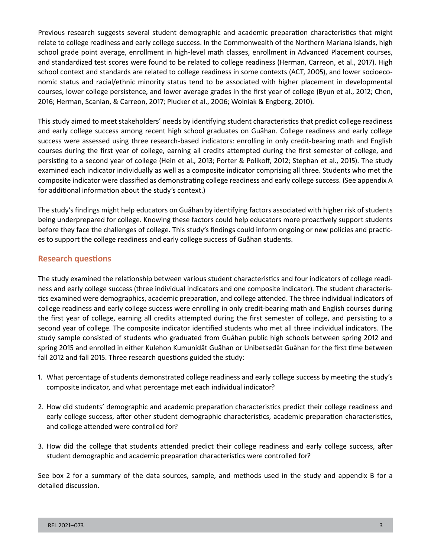Previous research suggests several student demographic and academic preparation characteristics that might relate to college readiness and early college success. In the Commonwealth of the Northern Mariana Islands, high school grade point average, enrollment in high-level math classes, enrollment in Advanced Placement courses, and standardized test scores were found to be related to college readiness (Herman, Carreon, et al., 2017). High school context and standards are related to college readiness in some contexts (ACT, 2005), and lower socioeconomic status and racial/ethnic minority status tend to be associated with higher placement in developmental courses, lower college persistence, and lower average grades in the first year of college (Byun et al., 2012; Chen, 2016; Herman, Scanlan, & Carreon, 2017; Plucker et al., 2006; Wolniak & Engberg, 2010).

 success were assessed using three research-based indicators: enrolling in only credit-bearing math and English This study aimed to meet stakeholders' needs by identifying student characteristics that predict college readiness and early college success among recent high school graduates on Guåhan. College readiness and early college courses during the first year of college, earning all credits attempted during the first semester of college, and persisting to a second year of college (Hein et al., 2013; Porter & Polikoff, 2012; Stephan et al., 2015). The study examined each indicator individually as well as a composite indicator comprising all three. Students who met the composite indicator were classified as demonstrating college readiness and early college success. (See appendix A for additional information about the study's context.)

The study's findings might help educators on Guåhan by identifying factors associated with higher risk of students being underprepared for college. Knowing these factors could help educators more proactively support students before they face the challenges of college. This study's findings could inform ongoing or new policies and practices to support the college readiness and early college success of Guåhan students.

#### **Research questions**

 college readiness and early college success were enrolling in only credit-bearing math and English courses during The study examined the relationship between various student characteristics and four indicators of college readiness and early college success (three individual indicators and one composite indicator). The student characteristics examined were demographics, academic preparation, and college attended. The three individual indicators of the first year of college, earning all credits attempted during the first semester of college, and persisting to a second year of college. The composite indicator identified students who met all three individual indicators. The study sample consisted of students who graduated from Guåhan public high schools between spring 2012 and spring 2015 and enrolled in either Kulehon Kumunidåt Guåhan or Unibetsedåt Guåhan for the first time between fall 2012 and fall 2015. Three research questions guided the study:

- 1. What percentage of students demonstrated college readiness and early college success by meeting the study's composite indicator, and what percentage met each individual indicator?
- 2. How did students' demographic and academic preparation characteristics predict their college readiness and early college success, after other student demographic characteristics, academic preparation characteristics, and college attended were controlled for?
- 3. How did the college that students attended predict their college readiness and early college success, after student demographic and academic preparation characteristics were controlled for?

See box 2 for a summary of the data sources, sample, and methods used in the study and appendix B for a detailed discussion.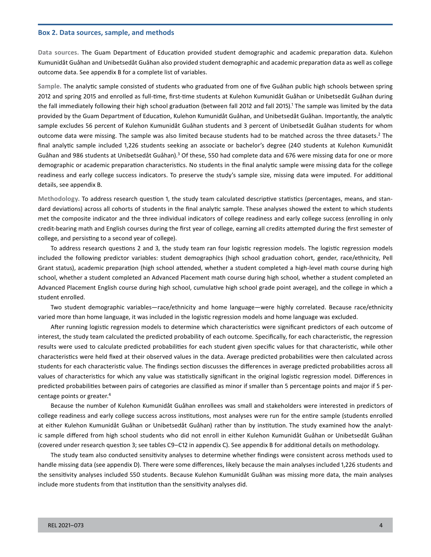#### **Box 2. Data sources, sample, and methods**

 Kumunidåt Guåhan and Unibetsedåt Guåhan also provided student demographic and academic preparation data as well as college **Data sources.** The Guam Department of Education provided student demographic and academic preparation data. Kulehon outcome data. See appendix B for a complete list of variables.

the fall immediately following their high school graduation (between fall 2012 and fall 2015).<sup>1</sup> The sample was limited by the data **Sample.** The analytic sample consisted of students who graduated from one of five Guåhan public high schools between spring 2012 and spring 2015 and enrolled as full-time, first-time students at Kulehon Kumunidåt Guåhan or Unibetsedåt Guåhan during provided by the Guam Department of Education, Kulehon Kumunidåt Guåhan, and Unibetsedåt Guåhan. Importantly, the analytic sample excludes 56 percent of Kulehon Kumunidåt Guåhan students and 3 percent of Unibetsedåt Guåhan students for whom outcome data were missing. The sample was also limited because students had to be matched across the three datasets.<sup>2</sup> The final analytic sample included 1,226 students seeking an associate or bachelor's degree (240 students at Kulehon Kumunidåt Guåhan and 986 students at Unibetsedåt Guåhan).<sup>3</sup> Of these, 550 had complete data and 676 were missing data for one or more demographic or academic preparation characteristics. No students in the final analytic sample were missing data for the college readiness and early college success indicators. To preserve the study's sample size, missing data were imputed. For additional details, see appendix B.

**Methodology.** To address research question 1, the study team calculated descriptive statistics (percentages, means, and standard deviations) across all cohorts of students in the final analytic sample. These analyses showed the extent to which students met the composite indicator and the three individual indicators of college readiness and early college success (enrolling in only credit-bearing math and English courses during the first year of college, earning all credits attempted during the first semester of college, and persisting to a second year of college).

To address research questions 2 and 3, the study team ran four logistic regression models. The logistic regression models included the following predictor variables: student demographics (high school graduation cohort, gender, race/ethnicity, Pell Grant status), academic preparation (high school attended, whether a student completed a high-level math course during high school, whether a student completed an Advanced Placement math course during high school, whether a student completed an Advanced Placement English course during high school, cumulative high school grade point average), and the college in which a student enrolled.

 Two student demographic variables—race/ethnicity and home language—were highly correlated. Because race/ethnicity varied more than home language, it was included in the logistic regression models and home language was excluded.

After running logistic regression models to determine which characteristics were significant predictors of each outcome of interest, the study team calculated the predicted probability of each outcome. Specifically, for each characteristic, the regression results were used to calculate predicted probabilities for each student given specific values for that characteristic, while other characteristics were held fixed at their observed values in the data. Average predicted probabilities were then calculated across students for each characteristic value. The findings section discusses the differences in average predicted probabilities across all values of characteristics for which any value was statistically significant in the original logistic regression model. Differences in predicted probabilities between pairs of categories are classified as minor if smaller than 5 percentage points and major if 5 percentage points or greater.<sup>4</sup>

 at either Kulehon Kumunidåt Guåhan or Unibetsedåt Guåhan) rather than by institution. The study examined how the analyt-Because the number of Kulehon Kumunidåt Guåhan enrollees was small and stakeholders were interested in predictors of college readiness and early college success across institutions, most analyses were run for the entire sample (students enrolled ic sample differed from high school students who did not enroll in either Kulehon Kumunidåt Guåhan or Unibetsedåt Guåhan (covered under research question 3; see tables C9–C12 in appendix C). See appendix B for additional details on methodology.

The study team also conducted sensitivity analyses to determine whether findings were consistent across methods used to handle missing data (see appendix D). There were some differences, likely because the main analyses included 1,226 students and the sensitivity analyses included 550 students. Because Kulehon Kumunidåt Guåhan was missing more data, the main analyses include more students from that institution than the sensitivity analyses did.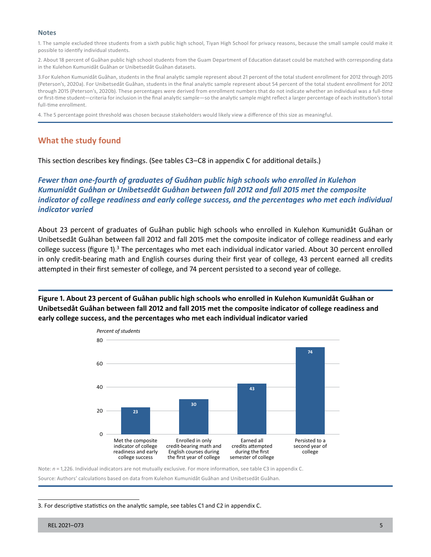#### **Notes**

 1. The sample excluded three students from a sixth public high school, Tiyan High School for privacy reasons, because the small sample could make it possible to identify individual students.

2. About 18 percent of Guåhan public high school students from the Guam Department of Education dataset could be matched with corresponding data in the Kulehon Kumunidåt Guåhan or Unibetsedåt Guåhan datasets.

 or first-time student—criteria for inclusion in the final analytic sample—so the analytic sample might reflect a larger percentage of each institution's total 3.For Kulehon Kumunidåt Guåhan, students in the final analytic sample represent about 21 percent of the total student enrollment for 2012 through 2015 (Peterson's, 2020a). For Unibetsedåt Guåhan, students in the final analytic sample represent about 54 percent of the total student enrollment for 2012 through 2015 (Peterson's, 2020b). These percentages were derived from enrollment numbers that do not indicate whether an individual was a full-time full-time enrollment.

4. The 5 percentage point threshold was chosen because stakeholders would likely view a difference of this size as meaningful.

#### **What the study found**

This section describes key findings. (See tables C3–C8 in appendix C for additional details.)

*Fewer than one-fourth of graduates of Guåhan public high schools who enrolled in Kulehon Kumunidåt Guåhan or Unibetsedåt Guåhan between fall 2012 and fall 2015 met the composite indicator of college readiness and early college success, and the percentages who met each individual indicator varied* 

About 23 percent of graduates of Guåhan public high schools who enrolled in Kulehon Kumunidåt Guåhan or Unibetsedåt Guåhan between fall 2012 and fall 2015 met the composite indicator of college readiness and early college success (figure 1). $3$  The percentages who met each individual indicator varied. About 30 percent enrolled in only credit-bearing math and English courses during their first year of college, 43 percent earned all credits attempted in their first semester of college, and 74 percent persisted to a second year of college.

**Figure 1. About 23 percent of Guåhan public high schools who enrolled in Kulehon Kumunidåt Guåhan or Unibetsedåt Guåhan between fall 2012 and fall 2015 met the composite indicator of college readiness and early college success, and the percentages who met each individual indicator varied** 



Note: *n* = 1,226. Individual indicators are not mutually exclusive. For more information, see table C3 in appendix C.

Source: Authors' calculations based on data from Kulehon Kumunidåt Guåhan and Unibetsedåt Guåhan.

3. For descriptive statistics on the analytic sample, see tables C1 and C2 in appendix C.

REL 2021–073 5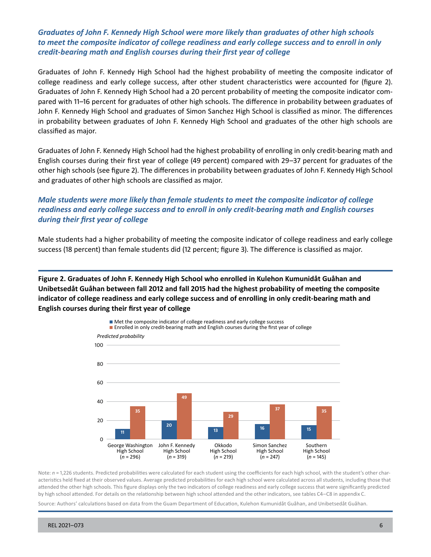#### *Graduates of John F. Kennedy High School were more likely than graduates of other high schools to meet the composite indicator of college readiness and early college success and to enroll in only credit-bearing math and English courses during their first year of college*

Graduates of John F. Kennedy High School had the highest probability of meeting the composite indicator of college readiness and early college success, after other student characteristics were accounted for (figure 2). Graduates of John F. Kennedy High School had a 20 percent probability of meeting the composite indicator compared with 11–16 percent for graduates of other high schools. The difference in probability between graduates of John F. Kennedy High School and graduates of Simon Sanchez High School is classified as minor. The differences in probability between graduates of John F. Kennedy High School and graduates of the other high schools are classified as major.

Graduates of John F. Kennedy High School had the highest probability of enrolling in only credit-bearing math and English courses during their first year of college (49 percent) compared with 29–37 percent for graduates of the other high schools (see figure 2). The differences in probability between graduates of John F. Kennedy High School and graduates of other high schools are classified as major.

### *Male students were more likely than female students to meet the composite indicator of college readiness and early college success and to enroll in only credit-bearing math and English courses during their first year of college*

Male students had a higher probability of meeting the composite indicator of college readiness and early college success (18 percent) than female students did (12 percent; figure 3). The difference is classified as major.

**Figure 2. Graduates of John F. Kennedy High School who enrolled in Kulehon Kumunidåt Guåhan and Unibetsedåt Guåhan between fall 2012 and fall 2015 had the highest probability of meeting the composite indicator of college readiness and early college success and of enrolling in only credit-bearing math and English courses during their first year of college** 



Note:  $n = 1,226$  students. Predicted probabilities were calculated for each student using the coefficients for each high school, with the student's other characteristics held fixed at their observed values. Average predicted probabilities for each high school were calculated across all students, including those that attended the other high schools. This figure displays only the two indicators of college readiness and early college success that were significantly predicted by high school attended. For details on the relationship between high school attended and the other indicators, see tables C4–C8 in appendix C.

Source: Authors' calculations based on data from the Guam Department of Education, Kulehon Kumunidåt Guåhan, and Unibetsedåt Guåhan.

REL 2021–073 6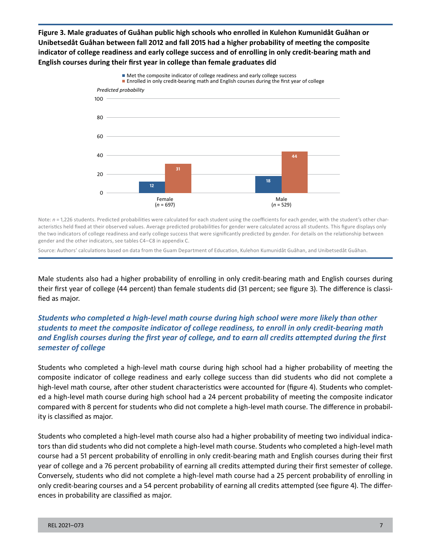**Figure 3. Male graduates of Guåhan public high schools who enrolled in Kulehon Kumunidåt Guåhan or Unibetsedåt Guåhan between fall 2012 and fall 2015 had a higher probability of meeting the composite indicator of college readiness and early college success and of enrolling in only credit-bearing math and English courses during their first year in college than female graduates did** 



Note:  $n = 1,226$  students. Predicted probabilities were calculated for each student using the coefficients for each gender, with the student's other characteristics held fixed at their observed values. Average predicted probabilities for gender were calculated across all students. This figure displays only the two indicators of college readiness and early college success that were significantly predicted by gender. For details on the relationship between gender and the other indicators, see tables C4–C8 in appendix C.

Source: Authors' calculations based on data from the Guam Department of Education, Kulehon Kumunidåt Guåhan, and Unibetsedåt Guåhan.

Male students also had a higher probability of enrolling in only credit-bearing math and English courses during their first year of college (44 percent) than female students did (31 percent; see figure 3). The difference is classified as major.

## *Students who completed a high-level math course during high school were more likely than other students to meet the composite indicator of college readiness, to enroll in only credit-bearing math and English courses during the first year of college, and to earn all credits attempted during the first semester of college*

Students who completed a high-level math course during high school had a higher probability of meeting the composite indicator of college readiness and early college success than did students who did not complete a high-level math course, after other student characteristics were accounted for (figure 4). Students who completed a high-level math course during high school had a 24 percent probability of meeting the composite indicator compared with 8 percent for students who did not complete a high-level math course. The difference in probability is classified as major.

Students who completed a high-level math course also had a higher probability of meeting two individual indicators than did students who did not complete a high-level math course. Students who completed a high-level math course had a 51 percent probability of enrolling in only credit-bearing math and English courses during their first year of college and a 76 percent probability of earning all credits attempted during their first semester of college. Conversely, students who did not complete a high-level math course had a 25 percent probability of enrolling in only credit-bearing courses and a 54 percent probability of earning all credits attempted (see figure 4). The differences in probability are classified as major.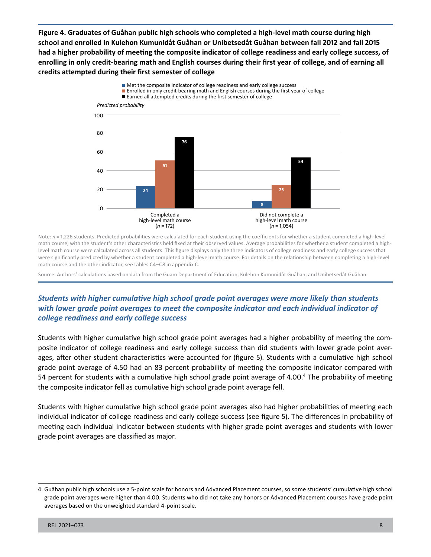**Figure 4. Graduates of Guåhan public high schools who completed a high-level math course during high school and enrolled in Kulehon Kumunidåt Guåhan or Unibetsedåt Guåhan between fall 2012 and fall 2015 had a higher probability of meeting the composite indicator of college readiness and early college success, of enrolling in only credit-bearing math and English courses during their first year of college, and of earning all credits attempted during their first semester of college** 



Note:  $n = 1,226$  students. Predicted probabilities were calculated for each student using the coefficients for whether a student completed a high-level math course, with the student's other characteristics held fixed at their observed values. Average probabilities for whether a student completed a highlevel math course were calculated across all students. This figure displays only the three indicators of college readiness and early college success that were significantly predicted by whether a student completed a high-level math course. For details on the relationship between completing a high-level math course and the other indicator, see tables C4–C8 in appendix C.

Source: Authors' calculations based on data from the Guam Department of Education, Kulehon Kumunidåt Guåhan, and Unibetsedåt Guåhan.

## *Students with higher cumulative high school grade point averages were more likely than students with lower grade point averages to meet the composite indicator and each individual indicator of college readiness and early college success*

Students with higher cumulative high school grade point averages had a higher probability of meeting the composite indicator of college readiness and early college success than did students with lower grade point averages, after other student characteristics were accounted for (figure 5). Students with a cumulative high school grade point average of 4.50 had an 83 percent probability of meeting the composite indicator compared with 54 percent for students with a cumulative high school grade point average of 4.00.<sup>4</sup> The probability of meeting the composite indicator fell as cumulative high school grade point average fell.

Students with higher cumulative high school grade point averages also had higher probabilities of meeting each individual indicator of college readiness and early college success (see figure 5). The differences in probability of meeting each individual indicator between students with higher grade point averages and students with lower grade point averages are classified as major.

<sup>4.</sup> Guåhan public high schools use a 5-point scale for honors and Advanced Placement courses, so some students' cumulative high school grade point averages were higher than 4.00. Students who did not take any honors or Advanced Placement courses have grade point averages based on the unweighted standard 4-point scale.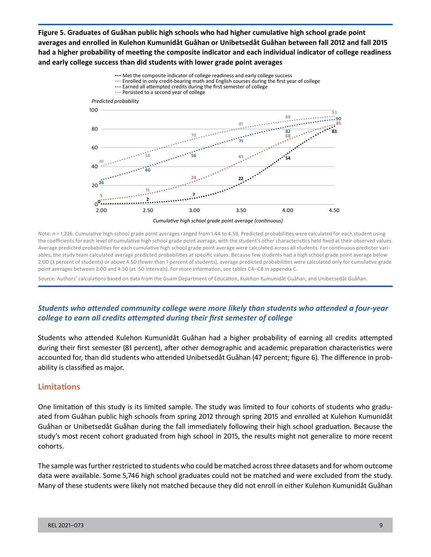**Figure 5. Graduates of Guåhan public high schools who had higher cumulative high school grade point averages and enrolled in Kulehon Kumunidåt Guåhan or Unibetsedåt Guåhan between fall 2012 and fall 2015 had a higher probability of meeting the composite indicator and each individual indicator of college readiness and early college success than did students with lower grade point averages** 



Note:  $n = 1,226$ . Cumulative high school grade point averages ranged from 1.44 to 4.58. Predicted probabilities were calculated for each student using the coefficients for each level of cumulative high school grade point average, with the student's other characteristics held fixed at their observed values. Average predicted probabilities for each cumulative high school grade point average were calculated across all students. For continuous predictor variables, the study team calculated average predicted probabilities at specific values. Because few students had a high school grade point average below 2.00 (3 percent of students) or above 4.50 (fewer than 1 percent of students), average predicted probabilities were calculated only for cumulative grade point averages between 2.00 and 4.50 (at .50 intervals). For more information, see tables C4–C8 in appendix C.

Source: Authors' calculations based on data from the Guam Department of Education, Kulehon Kumunidåt Guåhan, and Unibetsedåt Guåhan.

## *Students who attended community college were more likely than students who attended a four-year college to earn all credits attempted during their first semester of college*

Students who attended Kulehon Kumunidåt Guåhan had a higher probability of earning all credits attempted during their first semester (81 percent), after other demographic and academic preparation characteristics were accounted for, than did students who attended Unibetsedåt Guåhan (47 percent; figure 6). The difference in probability is classified as major.

#### **Limitations**

 Guåhan or Unibetsedåt Guåhan during the fall immediately following their high school graduation. Because the One limitation of this study is its limited sample. The study was limited to four cohorts of students who graduated from Guåhan public high schools from spring 2012 through spring 2015 and enrolled at Kulehon Kumunidåt study's most recent cohort graduated from high school in 2015, the results might not generalize to more recent cohorts.

The sample was further restricted to students who could be matched across three datasets and for whom outcome data were available. Some 5,746 high school graduates could not be matched and were excluded from the study. Many of these students were likely not matched because they did not enroll in either Kulehon Kumunidåt Guåhan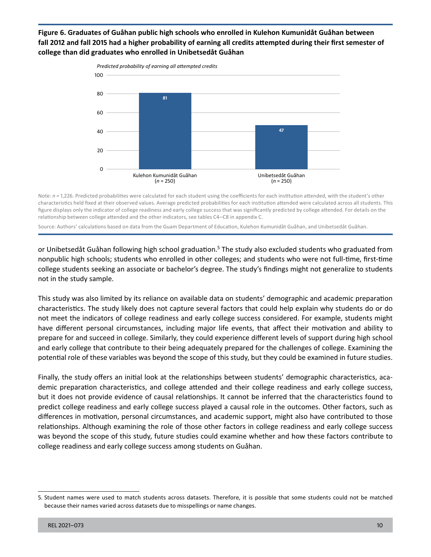#### **Figure 6. Graduates of Guåhan public high schools who enrolled in Kulehon Kumunidåt Guåhan between fall 2012 and fall 2015 had a higher probability of earning all credits attempted during their first semester of college than did graduates who enrolled in Unibetsedåt Guåhan**



 characteristics held fixed at their observed values. Average predicted probabilities for each institution attended were calculated across all students. This Note:  $n = 1,226$ . Predicted probabilities were calculated for each student using the coefficients for each institution attended, with the student's other figure displays only the indicator of college readiness and early college success that was significantly predicted by college attended. For details on the relationship between college attended and the other indicators, see tables C4–C8 in appendix C.

Source: Authors' calculations based on data from the Guam Department of Education, Kulehon Kumunidåt Guåhan, and Unibetsedåt Guåhan.

or Unibetsedåt Guåhan following high school graduation.<sup>5</sup> The study also excluded students who graduated from nonpublic high schools; students who enrolled in other colleges; and students who were not full-time, first-time college students seeking an associate or bachelor's degree. The study's findings might not generalize to students not in the study sample.

This study was also limited by its reliance on available data on students' demographic and academic preparation characteristics. The study likely does not capture several factors that could help explain why students do or do not meet the indicators of college readiness and early college success considered. For example, students might have different personal circumstances, including major life events, that affect their motivation and ability to prepare for and succeed in college. Similarly, they could experience different levels of support during high school and early college that contribute to their being adequately prepared for the challenges of college. Examining the potential role of these variables was beyond the scope of this study, but they could be examined in future studies.

Finally, the study offers an initial look at the relationships between students' demographic characteristics, academic preparation characteristics, and college attended and their college readiness and early college success, but it does not provide evidence of causal relationships. It cannot be inferred that the characteristics found to predict college readiness and early college success played a causal role in the outcomes. Other factors, such as differences in motivation, personal circumstances, and academic support, might also have contributed to those relationships. Although examining the role of those other factors in college readiness and early college success was beyond the scope of this study, future studies could examine whether and how these factors contribute to college readiness and early college success among students on Guåhan.

<sup>5.</sup> Student names were used to match students across datasets. Therefore, it is possible that some students could not be matched because their names varied across datasets due to misspellings or name changes.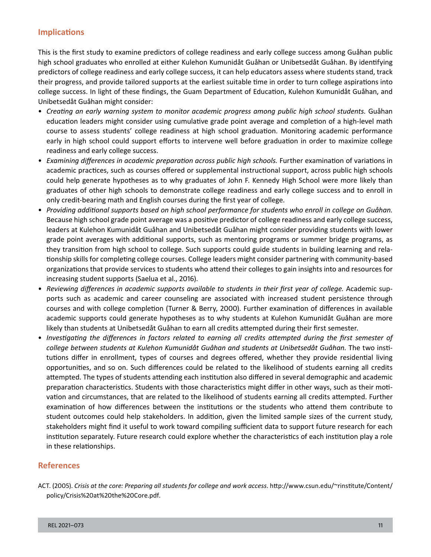### **Implications**

This is the first study to examine predictors of college readiness and early college success among Guåhan public high school graduates who enrolled at either Kulehon Kumunidåt Guåhan or Unibetsedåt Guåhan. By identifying predictors of college readiness and early college success, it can help educators assess where students stand, track their progress, and provide tailored supports at the earliest suitable time in order to turn college aspirations into college success. In light of these findings, the Guam Department of Education, Kulehon Kumunidåt Guåhan, and Unibetsedåt Guåhan might consider:

- • *Creating an early warning system to monitor academic progress among public high school students.* Guåhan education leaders might consider using cumulative grade point average and completion of a high-level math course to assess students' college readiness at high school graduation. Monitoring academic performance early in high school could support efforts to intervene well before graduation in order to maximize college readiness and early college success.
- *Examining differences in academic preparation across public high schools.* Further examination of variations in academic practices, such as courses offered or supplemental instructional support, across public high schools could help generate hypotheses as to why graduates of John F. Kennedy High School were more likely than graduates of other high schools to demonstrate college readiness and early college success and to enroll in only credit-bearing math and English courses during the first year of college.
- • *Providing additional supports based on high school performance for students who enroll in college on Guåhan.*  Because high school grade point average was a positive predictor of college readiness and early college success, leaders at Kulehon Kumunidåt Guåhan and Unibetsedåt Guåhan might consider providing students with lower grade point averages with additional supports, such as mentoring programs or summer bridge programs, as they transition from high school to college. Such supports could guide students in building learning and relationship skills for completing college courses. College leaders might consider partnering with community-based organizations that provide services to students who attend their colleges to gain insights into and resources for increasing student supports (Saelua et al., 2016).
- • *Reviewing differences in academic supports available to students in their first year of college.* Academic supports such as academic and career counseling are associated with increased student persistence through courses and with college completion (Turner & Berry, 2000). Further examination of differences in available academic supports could generate hypotheses as to why students at Kulehon Kumunidåt Guåhan are more likely than students at Unibetsedåt Guåhan to earn all credits attempted during their first semester.
- *college between students at Kulehon Kumunidåt Guåhan and students at Unibetsedåt Guåhan.* The two insti- in these relationships. • *Investigating the differences in factors related to earning all credits attempted during the first semester of*  tutions differ in enrollment, types of courses and degrees offered, whether they provide residential living opportunities, and so on. Such differences could be related to the likelihood of students earning all credits attempted. The types of students attending each institution also differed in several demographic and academic preparation characteristics. Students with those characteristics might differ in other ways, such as their motivation and circumstances, that are related to the likelihood of students earning all credits attempted. Further examination of how differences between the institutions or the students who attend them contribute to student outcomes could help stakeholders. In addition, given the limited sample sizes of the current study, stakeholders might find it useful to work toward compiling sufficient data to support future research for each institution separately. Future research could explore whether the characteristics of each institution play a role

#### **References**

ACT. (2005). *Crisis at the core: Preparing all students for college and work access*. [http://www.csun.edu/~rinstitute/Content/](http://www.csun.edu/~rinstitute/Content/policy/Crisis%20at%20the%20Core.pdf) [policy/Crisis%20at%20the%20Core.pdf.](http://www.csun.edu/~rinstitute/Content/policy/Crisis%20at%20the%20Core.pdf)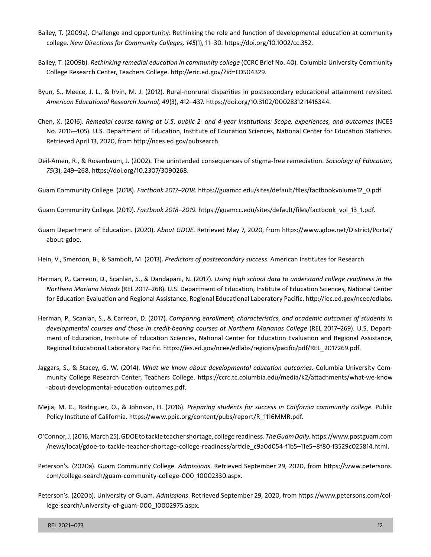- Bailey, T. (2009a). Challenge and opportunity: Rethinking the role and function of developmental education at community college. *New Directions for Community Colleges, 145*(1), 11–30.<https://doi.org/10.1002/cc.352>.
- Bailey, T. (2009b). *Rethinking remedial education in community college* (CCRC Brief No. 40). Columbia University Community College Research Center, Teachers College. <http://eric.ed.gov/?id=ED504329>.
- Byun, S., Meece, J. L., & Irvin, M. J. (2012). Rural-nonrural disparities in postsecondary educational attainment revisited. *American Educational Research Journal, 49*(3), 412–437. [https://doi.org/10.3102/0002831211416344.](https://doi.org/10.3102/0002831211416344)
- Chen, X. (2016). *Remedial course taking at U.S. public 2- and 4-year institutions: Scope, experiences, and outcomes* (NCES No. 2016–405). U.S. Department of Education, Institute of Education Sciences, National Center for Education Statistics. Retrieved April 13, 2020, from <http://nces.ed.gov/pubsearch>.
- Deil-Amen, R., & Rosenbaum, J. (2002). The unintended consequences of stigma-free remediation. *Sociology of Education, 75*(3), 249–268. [https://doi.org/10.2307/3090268.](https://doi.org/10.2307/3090268)
- Guam Community College. (2018). *Factbook 2017–2018*. [https://guamcc.edu/sites/default/files/factbookvolume12\\_0.pdf.](https://guamcc.edu/sites/default/files/factbookvolume12_0.pdf)
- Guam Community College. (2019). *Factbook 2018–2019*. [https://guamcc.edu/sites/default/files/factbook\\_vol\\_13\\_1.pdf](https://guamcc.edu/sites/default/files/factbook_vol_13_1.pdf).
- Guam Department of Education. (2020). *About GDOE*. Retrieved May 7, 2020, from [https://www.gdoe.net/District/Portal/](https://www.gdoe.net/District/Portal/about-gdoe)  [about-gdoe](https://www.gdoe.net/District/Portal/about-gdoe).
- Hein, V., Smerdon, B., & Sambolt, M. (2013). *Predictors of postsecondary success*. American Institutes for Research.
- *Northern Mariana Islands* (REL 2017–268). U.S. Department of Education, Institute of Education Sciences, National Center Herman, P., Carreon, D., Scanlan, S., & Dandapani, N. (2017). *Using high school data to understand college readiness in the*  for Education Evaluation and Regional Assistance, Regional Educational Laboratory Pacific. <http://iec.ed.gov/ncee/edlabs>.
- *developmental courses and those in credit-bearing courses at Northern Marianas College* (REL 2017–269). U.S. Depart-Herman, P., Scanlan, S., & Carreon, D. (2017). *Comparing enrollment, characteristics, and academic outcomes of students in*  ment of Education, Institute of Education Sciences, National Center for Education Evaluation and Regional Assistance, Regional Educational Laboratory Pacific. [https://ies.ed.gov/ncee/edlabs/regions/pacific/pdf/REL\\_2017269.pdf.](https://ies.ed.gov/ncee/edlabs/regions/pacific/pdf/REL_2017269.pdf)
- Jaggars, S., & Stacey, G. W. (2014). *What we know about developmental education outcomes*. Columbia University Community College Research Center, Teachers College. [https://ccrc.tc.columbia.edu/media/k2/attachments/what-we-know](https://ccrc.tc.columbia.edu/media/k2/attachments/what-we-know-about-developmental-education-outcomes.pdf)  [-about-developmental-education-outcomes.pdf](https://ccrc.tc.columbia.edu/media/k2/attachments/what-we-know-about-developmental-education-outcomes.pdf).
- Mejia, M. C., Rodriguez, O., & Johnson, H. (2016). *Preparing students for success in California community college*. Public Policy Institute of California. [https://www.ppic.org/content/pubs/report/R\\_1116MMR.pdf.](https://www.ppic.org/content/pubs/report/R_1116MMR.pdf)
- O'Connor, J. (2016, March 25). GDOE to tackle teacher shortage, college readiness. *TheGuamDaily*. [https://www.postguam.com](https://www.postguam.com/news/local/gdoe-to-tackle-teacher-shortage-college-readiness/article_c9a0d054-f1b5-11e5-8f80-f3529c025814.html) [/news/local/gdoe-to-tackle-teacher-shortage-college-readiness/article\\_c9a0d054-f1b5–11e5–8f80-f3529c025814.html.](https://www.postguam.com/news/local/gdoe-to-tackle-teacher-shortage-college-readiness/article_c9a0d054-f1b5-11e5-8f80-f3529c025814.html)
- Peterson's. (2020a). Guam Community College. *Admissions*. Retrieved September 29, 2020, from [https://www.petersons.](https://www.petersons.com/college-search/guam-community-college-000_10002330.aspx) [com/college-search/guam-community-college-000\\_10002330.aspx](https://www.petersons.com/college-search/guam-community-college-000_10002330.aspx).
- Peterson's. (2020b). University of Guam. *Admissions*. Retrieved September 29, 2020, from [https://www.petersons.com/col](https://www.petersons.com/college-search/university-of-guam-000_10002975.aspx)[lege-search/university-of-guam-000\\_10002975.aspx](https://www.petersons.com/college-search/university-of-guam-000_10002975.aspx).